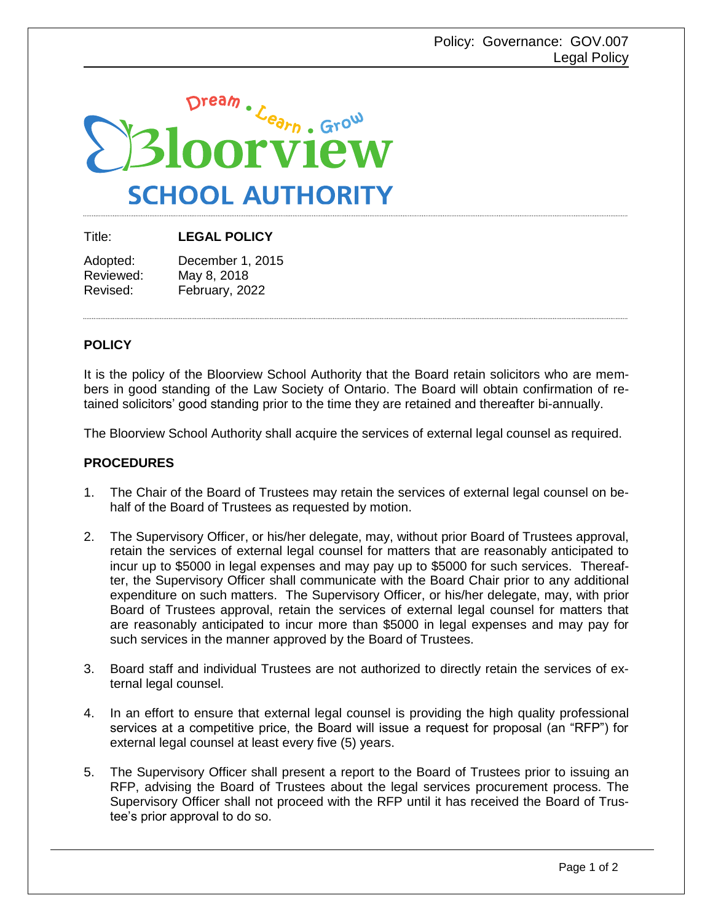

Title: **LEGAL POLICY**

| Adopted:  | December 1, 2015 |
|-----------|------------------|
| Reviewed: | May 8, 2018      |
| Revised:  | February, 2022   |

## **POLICY**

It is the policy of the Bloorview School Authority that the Board retain solicitors who are members in good standing of the Law Society of Ontario. The Board will obtain confirmation of retained solicitors' good standing prior to the time they are retained and thereafter bi-annually.

The Bloorview School Authority shall acquire the services of external legal counsel as required.

## **PROCEDURES**

- 1. The Chair of the Board of Trustees may retain the services of external legal counsel on behalf of the Board of Trustees as requested by motion.
- 2. The Supervisory Officer, or his/her delegate, may, without prior Board of Trustees approval, retain the services of external legal counsel for matters that are reasonably anticipated to incur up to \$5000 in legal expenses and may pay up to \$5000 for such services. Thereafter, the Supervisory Officer shall communicate with the Board Chair prior to any additional expenditure on such matters. The Supervisory Officer, or his/her delegate, may, with prior Board of Trustees approval, retain the services of external legal counsel for matters that are reasonably anticipated to incur more than \$5000 in legal expenses and may pay for such services in the manner approved by the Board of Trustees.
- 3. Board staff and individual Trustees are not authorized to directly retain the services of external legal counsel.
- 4. In an effort to ensure that external legal counsel is providing the high quality professional services at a competitive price, the Board will issue a request for proposal (an "RFP") for external legal counsel at least every five (5) years.
- 5. The Supervisory Officer shall present a report to the Board of Trustees prior to issuing an RFP, advising the Board of Trustees about the legal services procurement process. The Supervisory Officer shall not proceed with the RFP until it has received the Board of Trustee's prior approval to do so.